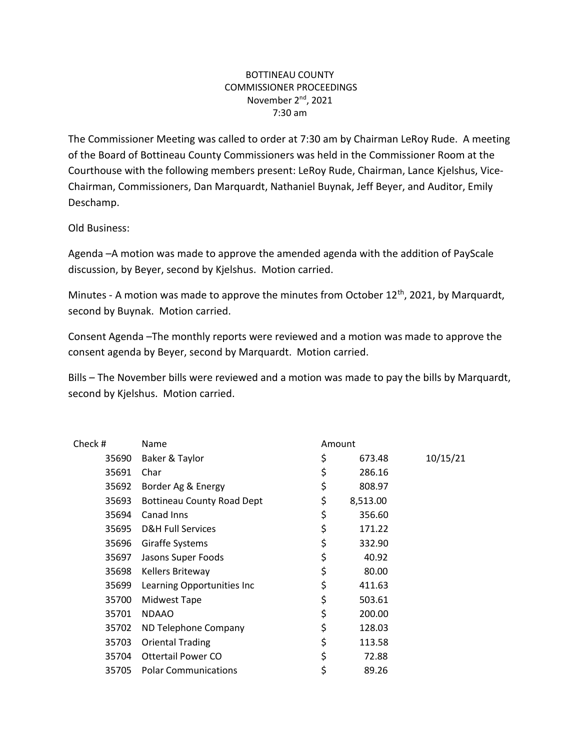## BOTTINEAU COUNTY COMMISSIONER PROCEEDINGS November 2<sup>nd</sup>, 2021 7:30 am

The Commissioner Meeting was called to order at 7:30 am by Chairman LeRoy Rude. A meeting of the Board of Bottineau County Commissioners was held in the Commissioner Room at the Courthouse with the following members present: LeRoy Rude, Chairman, Lance Kjelshus, Vice-Chairman, Commissioners, Dan Marquardt, Nathaniel Buynak, Jeff Beyer, and Auditor, Emily Deschamp.

Old Business:

Agenda –A motion was made to approve the amended agenda with the addition of PayScale discussion, by Beyer, second by Kjelshus. Motion carried.

Minutes - A motion was made to approve the minutes from October 12<sup>th</sup>, 2021, by Marquardt, second by Buynak. Motion carried.

Consent Agenda –The monthly reports were reviewed and a motion was made to approve the consent agenda by Beyer, second by Marquardt. Motion carried.

Bills – The November bills were reviewed and a motion was made to pay the bills by Marquardt, second by Kjelshus. Motion carried.

| Check # | Name                              | Amount |          |          |
|---------|-----------------------------------|--------|----------|----------|
| 35690   | Baker & Taylor                    | \$     | 673.48   | 10/15/21 |
| 35691   | Char                              | \$     | 286.16   |          |
| 35692   | Border Ag & Energy                | \$     | 808.97   |          |
| 35693   | <b>Bottineau County Road Dept</b> | \$     | 8,513.00 |          |
| 35694   | Canad Inns                        | \$     | 356.60   |          |
| 35695   | <b>D&amp;H Full Services</b>      | \$     | 171.22   |          |
| 35696   | Giraffe Systems                   | \$     | 332.90   |          |
| 35697   | Jasons Super Foods                | \$     | 40.92    |          |
| 35698   | Kellers Briteway                  | \$     | 80.00    |          |
| 35699   | Learning Opportunities Inc        | \$     | 411.63   |          |
| 35700   | Midwest Tape                      | \$     | 503.61   |          |
| 35701   | <b>NDAAO</b>                      | \$     | 200.00   |          |
| 35702   | ND Telephone Company              | \$     | 128.03   |          |
| 35703   | <b>Oriental Trading</b>           | \$     | 113.58   |          |
| 35704   | <b>Ottertail Power CO</b>         | \$     | 72.88    |          |
| 35705   | <b>Polar Communications</b>       | \$     | 89.26    |          |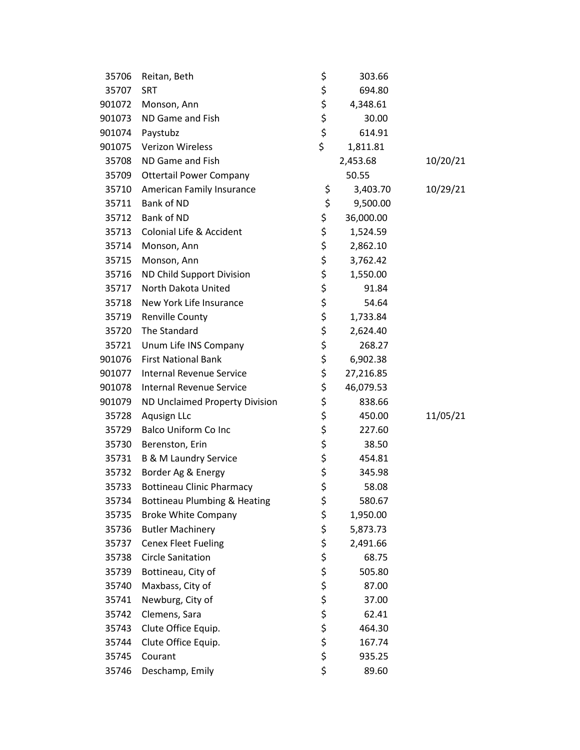| 35706  | Reitan, Beth                            | \$<br>303.66    |          |
|--------|-----------------------------------------|-----------------|----------|
| 35707  | <b>SRT</b>                              | \$<br>694.80    |          |
| 901072 | Monson, Ann                             | \$<br>4,348.61  |          |
| 901073 | ND Game and Fish                        | \$<br>30.00     |          |
| 901074 | Paystubz                                | \$<br>614.91    |          |
| 901075 | Verizon Wireless                        | \$<br>1,811.81  |          |
| 35708  | ND Game and Fish                        | 2,453.68        | 10/20/21 |
| 35709  | <b>Ottertail Power Company</b>          | 50.55           |          |
| 35710  | American Family Insurance               | \$<br>3,403.70  | 10/29/21 |
| 35711  | Bank of ND                              | \$<br>9,500.00  |          |
| 35712  | Bank of ND                              | \$<br>36,000.00 |          |
| 35713  | Colonial Life & Accident                | \$<br>1,524.59  |          |
| 35714  | Monson, Ann                             | \$<br>2,862.10  |          |
| 35715  | Monson, Ann                             | \$<br>3,762.42  |          |
| 35716  | ND Child Support Division               | \$<br>1,550.00  |          |
| 35717  | North Dakota United                     | \$<br>91.84     |          |
| 35718  | New York Life Insurance                 | \$<br>54.64     |          |
| 35719  | <b>Renville County</b>                  | \$<br>1,733.84  |          |
| 35720  | The Standard                            | \$<br>2,624.40  |          |
| 35721  | Unum Life INS Company                   | \$<br>268.27    |          |
| 901076 | <b>First National Bank</b>              | \$<br>6,902.38  |          |
| 901077 | <b>Internal Revenue Service</b>         | \$<br>27,216.85 |          |
| 901078 | Internal Revenue Service                | \$<br>46,079.53 |          |
| 901079 | ND Unclaimed Property Division          | \$<br>838.66    |          |
| 35728  | Aqusign LLc                             | \$<br>450.00    | 11/05/21 |
| 35729  | <b>Balco Uniform Co Inc</b>             | \$<br>227.60    |          |
| 35730  | Berenston, Erin                         | \$<br>38.50     |          |
| 35731  | <b>B &amp; M Laundry Service</b>        | \$<br>454.81    |          |
| 35732  | Border Ag & Energy                      | \$<br>345.98    |          |
| 35733  | <b>Bottineau Clinic Pharmacy</b>        | \$<br>58.08     |          |
| 35734  | <b>Bottineau Plumbing &amp; Heating</b> | \$<br>580.67    |          |
| 35735  | <b>Broke White Company</b>              | \$<br>1,950.00  |          |
| 35736  | <b>Butler Machinery</b>                 | \$<br>5,873.73  |          |
| 35737  | <b>Cenex Fleet Fueling</b>              | \$<br>2,491.66  |          |
| 35738  | <b>Circle Sanitation</b>                | \$<br>68.75     |          |
| 35739  | Bottineau, City of                      | \$<br>505.80    |          |
| 35740  | Maxbass, City of                        | \$<br>87.00     |          |
| 35741  | Newburg, City of                        | \$<br>37.00     |          |
| 35742  | Clemens, Sara                           | \$<br>62.41     |          |
| 35743  | Clute Office Equip.                     | \$<br>464.30    |          |
| 35744  | Clute Office Equip.                     | \$<br>167.74    |          |
| 35745  | Courant                                 | \$<br>935.25    |          |
| 35746  | Deschamp, Emily                         | \$<br>89.60     |          |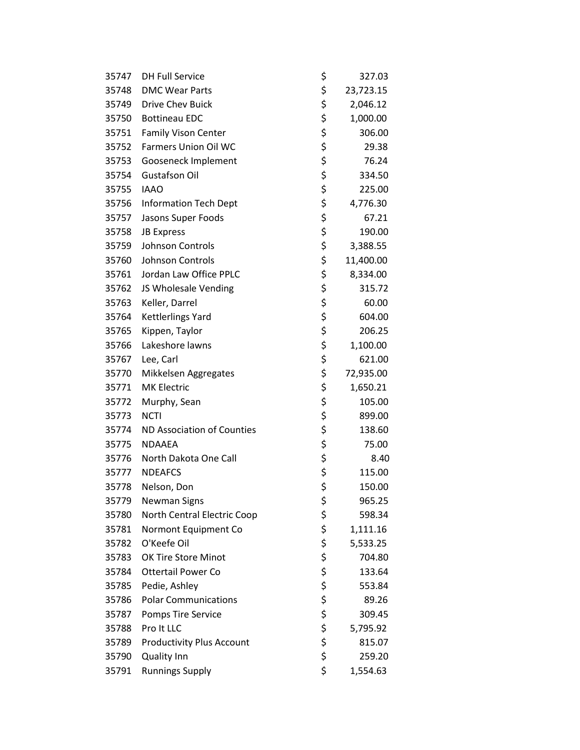| 35747 | <b>DH Full Service</b>           | \$<br>327.03    |
|-------|----------------------------------|-----------------|
| 35748 | <b>DMC Wear Parts</b>            | \$<br>23,723.15 |
| 35749 | Drive Chev Buick                 | \$<br>2,046.12  |
| 35750 | <b>Bottineau EDC</b>             | \$<br>1,000.00  |
| 35751 | Family Vison Center              | \$<br>306.00    |
| 35752 | <b>Farmers Union Oil WC</b>      | \$<br>29.38     |
| 35753 | Gooseneck Implement              | \$<br>76.24     |
| 35754 | <b>Gustafson Oil</b>             | \$<br>334.50    |
| 35755 | <b>IAAO</b>                      | \$<br>225.00    |
| 35756 | <b>Information Tech Dept</b>     | \$<br>4,776.30  |
| 35757 | Jasons Super Foods               | \$<br>67.21     |
| 35758 | <b>JB Express</b>                | \$<br>190.00    |
| 35759 | Johnson Controls                 | \$<br>3,388.55  |
| 35760 | Johnson Controls                 | \$<br>11,400.00 |
| 35761 | Jordan Law Office PPLC           | \$<br>8,334.00  |
| 35762 | JS Wholesale Vending             | \$<br>315.72    |
| 35763 | Keller, Darrel                   | \$<br>60.00     |
| 35764 | Kettlerlings Yard                | \$<br>604.00    |
| 35765 | Kippen, Taylor                   | \$<br>206.25    |
| 35766 | Lakeshore lawns                  | \$<br>1,100.00  |
| 35767 | Lee, Carl                        | \$<br>621.00    |
| 35770 | Mikkelsen Aggregates             | \$<br>72,935.00 |
| 35771 | <b>MK Electric</b>               | \$<br>1,650.21  |
| 35772 | Murphy, Sean                     | \$<br>105.00    |
| 35773 | <b>NCTI</b>                      | \$<br>899.00    |
| 35774 | ND Association of Counties       | \$<br>138.60    |
| 35775 | <b>NDAAEA</b>                    | \$<br>75.00     |
| 35776 | North Dakota One Call            | \$<br>8.40      |
| 35777 | <b>NDEAFCS</b>                   | \$<br>115.00    |
| 35778 | Nelson, Don                      | \$<br>150.00    |
| 35779 | <b>Newman Signs</b>              | \$<br>965.25    |
| 35780 | North Central Electric Coop      | \$<br>598.34    |
| 35781 | Normont Equipment Co             | \$<br>1,111.16  |
| 35782 | O'Keefe Oil                      | \$<br>5,533.25  |
| 35783 | OK Tire Store Minot              | \$<br>704.80    |
| 35784 | <b>Ottertail Power Co</b>        | \$<br>133.64    |
| 35785 | Pedie, Ashley                    | \$<br>553.84    |
| 35786 | <b>Polar Communications</b>      | \$<br>89.26     |
| 35787 | Pomps Tire Service               | \$<br>309.45    |
| 35788 | Pro It LLC                       | \$<br>5,795.92  |
| 35789 | <b>Productivity Plus Account</b> | \$<br>815.07    |
| 35790 | <b>Quality Inn</b>               | \$<br>259.20    |
| 35791 | <b>Runnings Supply</b>           | \$<br>1,554.63  |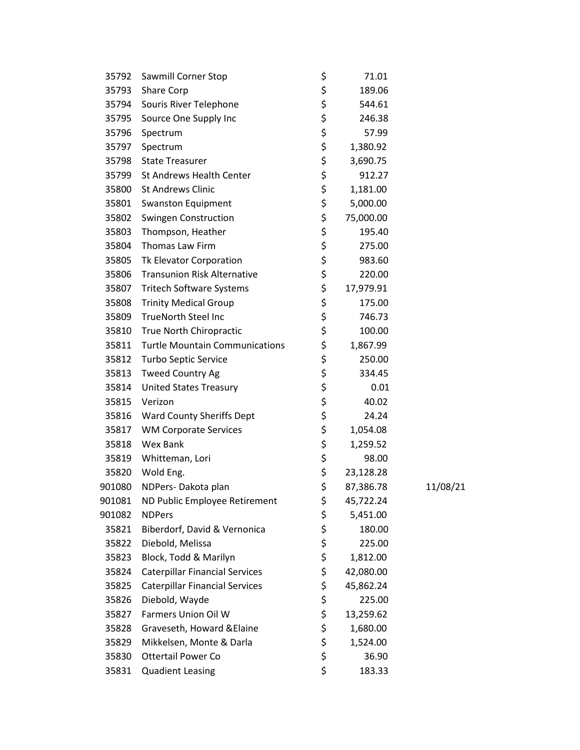| 35792  | Sawmill Corner Stop                   | \$<br>71.01     |          |
|--------|---------------------------------------|-----------------|----------|
| 35793  | Share Corp                            | \$<br>189.06    |          |
| 35794  | Souris River Telephone                | \$<br>544.61    |          |
| 35795  | Source One Supply Inc                 | \$<br>246.38    |          |
| 35796  | Spectrum                              | \$<br>57.99     |          |
| 35797  | Spectrum                              | \$<br>1,380.92  |          |
| 35798  | <b>State Treasurer</b>                | \$<br>3,690.75  |          |
| 35799  | <b>St Andrews Health Center</b>       | \$<br>912.27    |          |
| 35800  | <b>St Andrews Clinic</b>              | \$<br>1,181.00  |          |
| 35801  | Swanston Equipment                    | \$<br>5,000.00  |          |
| 35802  | <b>Swingen Construction</b>           | \$<br>75,000.00 |          |
| 35803  | Thompson, Heather                     | \$<br>195.40    |          |
| 35804  | Thomas Law Firm                       | \$<br>275.00    |          |
| 35805  | Tk Elevator Corporation               | \$<br>983.60    |          |
| 35806  | <b>Transunion Risk Alternative</b>    | \$<br>220.00    |          |
| 35807  | <b>Tritech Software Systems</b>       | \$<br>17,979.91 |          |
| 35808  | <b>Trinity Medical Group</b>          | \$<br>175.00    |          |
| 35809  | <b>TrueNorth Steel Inc</b>            | \$<br>746.73    |          |
| 35810  | True North Chiropractic               | \$<br>100.00    |          |
| 35811  | <b>Turtle Mountain Communications</b> | \$<br>1,867.99  |          |
| 35812  | Turbo Septic Service                  | \$<br>250.00    |          |
| 35813  | Tweed Country Ag                      | \$<br>334.45    |          |
| 35814  | <b>United States Treasury</b>         | \$<br>0.01      |          |
| 35815  | Verizon                               | \$<br>40.02     |          |
| 35816  | Ward County Sheriffs Dept             | \$<br>24.24     |          |
| 35817  | <b>WM Corporate Services</b>          | \$<br>1,054.08  |          |
| 35818  | Wex Bank                              | \$<br>1,259.52  |          |
| 35819  | Whitteman, Lori                       | \$<br>98.00     |          |
| 35820  | Wold Eng.                             | \$<br>23,128.28 |          |
| 901080 | NDPers-Dakota plan                    | \$<br>87,386.78 | 11/08/21 |
| 901081 | ND Public Employee Retirement         | \$<br>45,722.24 |          |
| 901082 | <b>NDPers</b>                         | \$<br>5,451.00  |          |
| 35821  | Biberdorf, David & Vernonica          | \$<br>180.00    |          |
| 35822  | Diebold, Melissa                      | \$<br>225.00    |          |
| 35823  | Block, Todd & Marilyn                 | \$<br>1,812.00  |          |
| 35824  | <b>Caterpillar Financial Services</b> | \$<br>42,080.00 |          |
| 35825  | <b>Caterpillar Financial Services</b> | \$<br>45,862.24 |          |
| 35826  | Diebold, Wayde                        | \$<br>225.00    |          |
| 35827  | Farmers Union Oil W                   | \$<br>13,259.62 |          |
| 35828  | Graveseth, Howard & Elaine            | \$<br>1,680.00  |          |
| 35829  | Mikkelsen, Monte & Darla              | \$<br>1,524.00  |          |
| 35830  | <b>Ottertail Power Co</b>             | \$<br>36.90     |          |
| 35831  | <b>Quadient Leasing</b>               | \$<br>183.33    |          |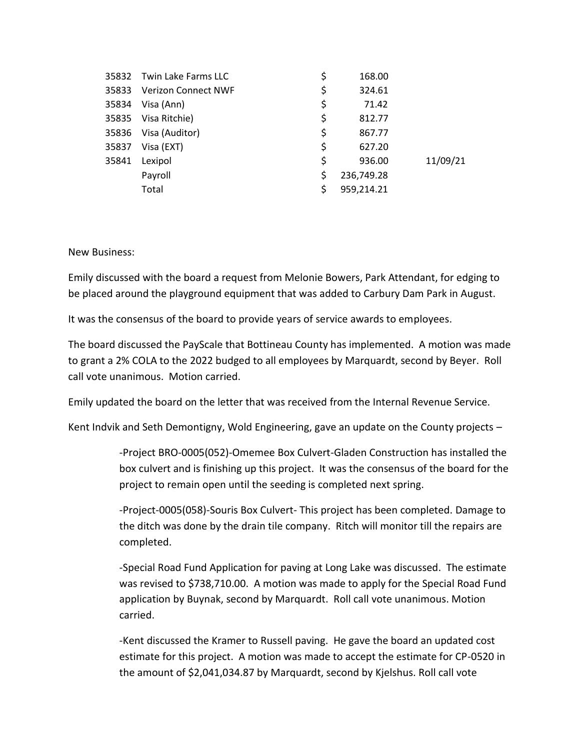| 35832 | Twin Lake Farms LLC        | \$<br>168.00     |          |
|-------|----------------------------|------------------|----------|
| 35833 | <b>Verizon Connect NWF</b> | \$<br>324.61     |          |
| 35834 | Visa (Ann)                 | \$<br>71.42      |          |
| 35835 | Visa Ritchie)              | \$<br>812.77     |          |
| 35836 | Visa (Auditor)             | \$<br>867.77     |          |
| 35837 | Visa (EXT)                 | \$<br>627.20     |          |
| 35841 | Lexipol                    | \$<br>936.00     | 11/09/21 |
|       | Payroll                    | \$<br>236,749.28 |          |
|       | Total                      | 959,214.21       |          |

New Business:

Emily discussed with the board a request from Melonie Bowers, Park Attendant, for edging to be placed around the playground equipment that was added to Carbury Dam Park in August.

It was the consensus of the board to provide years of service awards to employees.

The board discussed the PayScale that Bottineau County has implemented. A motion was made to grant a 2% COLA to the 2022 budged to all employees by Marquardt, second by Beyer. Roll call vote unanimous. Motion carried.

Emily updated the board on the letter that was received from the Internal Revenue Service.

Kent Indvik and Seth Demontigny, Wold Engineering, gave an update on the County projects –

-Project BRO-0005(052)-Omemee Box Culvert-Gladen Construction has installed the box culvert and is finishing up this project. It was the consensus of the board for the project to remain open until the seeding is completed next spring.

-Project-0005(058)-Souris Box Culvert- This project has been completed. Damage to the ditch was done by the drain tile company. Ritch will monitor till the repairs are completed.

-Special Road Fund Application for paving at Long Lake was discussed. The estimate was revised to \$738,710.00. A motion was made to apply for the Special Road Fund application by Buynak, second by Marquardt. Roll call vote unanimous. Motion carried.

-Kent discussed the Kramer to Russell paving. He gave the board an updated cost estimate for this project. A motion was made to accept the estimate for CP-0520 in the amount of \$2,041,034.87 by Marquardt, second by Kjelshus. Roll call vote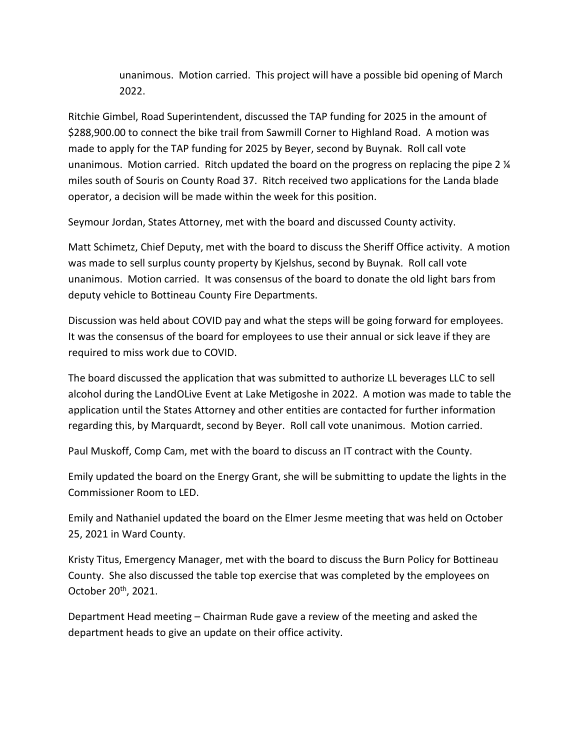unanimous. Motion carried. This project will have a possible bid opening of March 2022.

Ritchie Gimbel, Road Superintendent, discussed the TAP funding for 2025 in the amount of \$288,900.00 to connect the bike trail from Sawmill Corner to Highland Road. A motion was made to apply for the TAP funding for 2025 by Beyer, second by Buynak. Roll call vote unanimous. Motion carried. Ritch updated the board on the progress on replacing the pipe 2 ¼ miles south of Souris on County Road 37. Ritch received two applications for the Landa blade operator, a decision will be made within the week for this position.

Seymour Jordan, States Attorney, met with the board and discussed County activity.

Matt Schimetz, Chief Deputy, met with the board to discuss the Sheriff Office activity. A motion was made to sell surplus county property by Kjelshus, second by Buynak. Roll call vote unanimous. Motion carried. It was consensus of the board to donate the old light bars from deputy vehicle to Bottineau County Fire Departments.

Discussion was held about COVID pay and what the steps will be going forward for employees. It was the consensus of the board for employees to use their annual or sick leave if they are required to miss work due to COVID.

The board discussed the application that was submitted to authorize LL beverages LLC to sell alcohol during the LandOLive Event at Lake Metigoshe in 2022. A motion was made to table the application until the States Attorney and other entities are contacted for further information regarding this, by Marquardt, second by Beyer. Roll call vote unanimous. Motion carried.

Paul Muskoff, Comp Cam, met with the board to discuss an IT contract with the County.

Emily updated the board on the Energy Grant, she will be submitting to update the lights in the Commissioner Room to LED.

Emily and Nathaniel updated the board on the Elmer Jesme meeting that was held on October 25, 2021 in Ward County.

Kristy Titus, Emergency Manager, met with the board to discuss the Burn Policy for Bottineau County. She also discussed the table top exercise that was completed by the employees on October 20th, 2021.

Department Head meeting – Chairman Rude gave a review of the meeting and asked the department heads to give an update on their office activity.